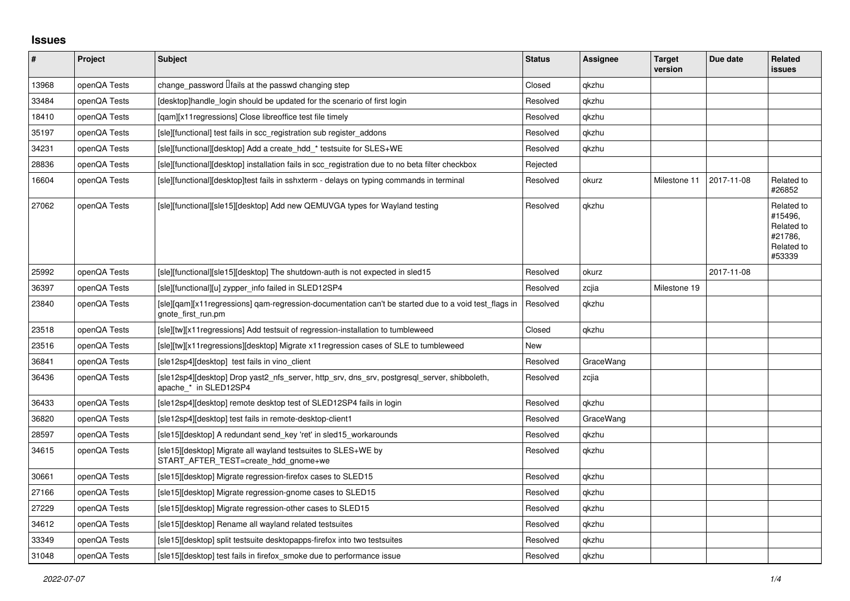## **Issues**

| $\pmb{\#}$ | Project      | <b>Subject</b>                                                                                                              | <b>Status</b> | <b>Assignee</b> | <b>Target</b><br>version | Due date   | Related<br>issues                                                      |
|------------|--------------|-----------------------------------------------------------------------------------------------------------------------------|---------------|-----------------|--------------------------|------------|------------------------------------------------------------------------|
| 13968      | openQA Tests | change_password <i>Ifails</i> at the passwd changing step                                                                   | Closed        | qkzhu           |                          |            |                                                                        |
| 33484      | openQA Tests | [desktop]handle login should be updated for the scenario of first login                                                     | Resolved      | qkzhu           |                          |            |                                                                        |
| 18410      | openQA Tests | [gam][x11 regressions] Close libreoffice test file timely                                                                   | Resolved      | qkzhu           |                          |            |                                                                        |
| 35197      | openQA Tests | [sle][functional] test fails in scc_registration sub register_addons                                                        | Resolved      | gkzhu           |                          |            |                                                                        |
| 34231      | openQA Tests | [sle][functional][desktop] Add a create hdd * testsuite for SLES+WE                                                         | Resolved      | qkzhu           |                          |            |                                                                        |
| 28836      | openQA Tests | [sle][functional][desktop] installation fails in scc registration due to no beta filter checkbox                            | Rejected      |                 |                          |            |                                                                        |
| 16604      | openQA Tests | [sle][functional][desktop]test fails in sshxterm - delays on typing commands in terminal                                    | Resolved      | okurz           | Milestone 11             | 2017-11-08 | Related to<br>#26852                                                   |
| 27062      | openQA Tests | [sle][functional][sle15][desktop] Add new QEMUVGA types for Wayland testing                                                 | Resolved      | qkzhu           |                          |            | Related to<br>#15496,<br>Related to<br>#21786,<br>Related to<br>#53339 |
| 25992      | openQA Tests | [sle][functional][sle15][desktop] The shutdown-auth is not expected in sled15                                               | Resolved      | okurz           |                          | 2017-11-08 |                                                                        |
| 36397      | openQA Tests | [sle][functional][u] zypper info failed in SLED12SP4                                                                        | Resolved      | zcjia           | Milestone 19             |            |                                                                        |
| 23840      | openQA Tests | [sle][gam][x11 regressions] gam-regression-documentation can't be started due to a void test flags in<br>gnote first run.pm | Resolved      | gkzhu           |                          |            |                                                                        |
| 23518      | openQA Tests | [sle][tw][x11 regressions] Add testsuit of regression-installation to tumbleweed                                            | Closed        | qkzhu           |                          |            |                                                                        |
| 23516      | openQA Tests | [sle][tw][x11regressions][desktop] Migrate x11regression cases of SLE to tumbleweed                                         | New           |                 |                          |            |                                                                        |
| 36841      | openQA Tests | [sle12sp4][desktop] test fails in vino_client                                                                               | Resolved      | GraceWang       |                          |            |                                                                        |
| 36436      | openQA Tests | [sle12sp4][desktop] Drop yast2 nfs server, http srv, dns srv, postgresql server, shibboleth,<br>apache_* in SLED12SP4       | Resolved      | zcjia           |                          |            |                                                                        |
| 36433      | openQA Tests | [sle12sp4][desktop] remote desktop test of SLED12SP4 fails in login                                                         | Resolved      | gkzhu           |                          |            |                                                                        |
| 36820      | openQA Tests | [sle12sp4][desktop] test fails in remote-desktop-client1                                                                    | Resolved      | GraceWang       |                          |            |                                                                        |
| 28597      | openQA Tests | [sle15][desktop] A redundant send key 'ret' in sled15 workarounds                                                           | Resolved      | qkzhu           |                          |            |                                                                        |
| 34615      | openQA Tests | [sle15][desktop] Migrate all wayland testsuites to SLES+WE by<br>START AFTER TEST=create hdd gnome+we                       | Resolved      | gkzhu           |                          |            |                                                                        |
| 30661      | openQA Tests | [sle15][desktop] Migrate regression-firefox cases to SLED15                                                                 | Resolved      | qkzhu           |                          |            |                                                                        |
| 27166      | openQA Tests | [sle15][desktop] Migrate regression-gnome cases to SLED15                                                                   | Resolved      | qkzhu           |                          |            |                                                                        |
| 27229      | openQA Tests | [sle15][desktop] Migrate regression-other cases to SLED15                                                                   | Resolved      | qkzhu           |                          |            |                                                                        |
| 34612      | openQA Tests | [sle15][desktop] Rename all wayland related testsuites                                                                      | Resolved      | qkzhu           |                          |            |                                                                        |
| 33349      | openQA Tests | [sle15][desktop] split testsuite desktopapps-firefox into two testsuites                                                    | Resolved      | qkzhu           |                          |            |                                                                        |
| 31048      | openQA Tests | [sle15][desktop] test fails in firefox_smoke due to performance issue                                                       | Resolved      | qkzhu           |                          |            |                                                                        |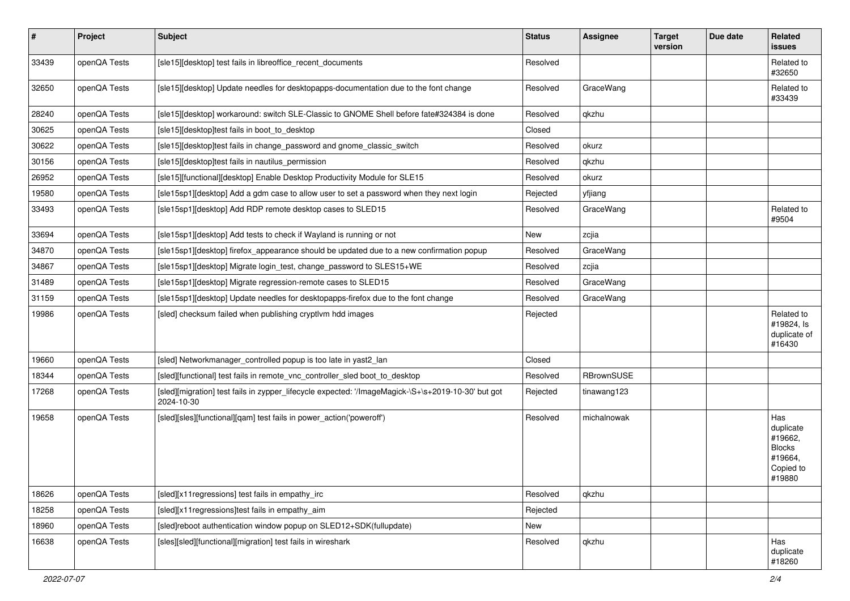| $\vert$ # | Project      | <b>Subject</b>                                                                                                   | <b>Status</b> | <b>Assignee</b> | <b>Target</b><br>version | Due date | Related<br><b>issues</b>                                                       |
|-----------|--------------|------------------------------------------------------------------------------------------------------------------|---------------|-----------------|--------------------------|----------|--------------------------------------------------------------------------------|
| 33439     | openQA Tests | [sle15][desktop] test fails in libreoffice_recent_documents                                                      | Resolved      |                 |                          |          | Related to<br>#32650                                                           |
| 32650     | openQA Tests | [sle15][desktop] Update needles for desktopapps-documentation due to the font change                             | Resolved      | GraceWang       |                          |          | Related to<br>#33439                                                           |
| 28240     | openQA Tests | [sle15][desktop] workaround: switch SLE-Classic to GNOME Shell before fate#324384 is done                        | Resolved      | qkzhu           |                          |          |                                                                                |
| 30625     | openQA Tests | [sle15][desktop]test fails in boot_to_desktop                                                                    | Closed        |                 |                          |          |                                                                                |
| 30622     | openQA Tests | [sle15][desktop]test fails in change_password and gnome_classic_switch                                           | Resolved      | okurz           |                          |          |                                                                                |
| 30156     | openQA Tests | [sle15][desktop]test fails in nautilus_permission                                                                | Resolved      | qkzhu           |                          |          |                                                                                |
| 26952     | openQA Tests | [sle15][functional][desktop] Enable Desktop Productivity Module for SLE15                                        | Resolved      | okurz           |                          |          |                                                                                |
| 19580     | openQA Tests | [sle15sp1][desktop] Add a gdm case to allow user to set a password when they next login                          | Rejected      | yfjiang         |                          |          |                                                                                |
| 33493     | openQA Tests | [sle15sp1][desktop] Add RDP remote desktop cases to SLED15                                                       | Resolved      | GraceWang       |                          |          | Related to<br>#9504                                                            |
| 33694     | openQA Tests | [sle15sp1][desktop] Add tests to check if Wayland is running or not                                              | New           | zcjia           |                          |          |                                                                                |
| 34870     | openQA Tests | [sle15sp1][desktop] firefox_appearance should be updated due to a new confirmation popup                         | Resolved      | GraceWang       |                          |          |                                                                                |
| 34867     | openQA Tests | [sle15sp1][desktop] Migrate login_test, change_password to SLES15+WE                                             | Resolved      | zcjia           |                          |          |                                                                                |
| 31489     | openQA Tests | [sle15sp1][desktop] Migrate regression-remote cases to SLED15                                                    | Resolved      | GraceWang       |                          |          |                                                                                |
| 31159     | openQA Tests | [sle15sp1][desktop] Update needles for desktopapps-firefox due to the font change                                | Resolved      | GraceWang       |                          |          |                                                                                |
| 19986     | openQA Tests | [sled] checksum failed when publishing cryptlym hdd images                                                       | Rejected      |                 |                          |          | Related to<br>#19824, Is<br>duplicate of<br>#16430                             |
| 19660     | openQA Tests | [sled] Networkmanager_controlled popup is too late in yast2_lan                                                  | Closed        |                 |                          |          |                                                                                |
| 18344     | openQA Tests | [sled][functional] test fails in remote_vnc_controller_sled boot_to_desktop                                      | Resolved      | RBrownSUSE      |                          |          |                                                                                |
| 17268     | openQA Tests | [sled][migration] test fails in zypper_lifecycle expected: '/ImageMagick-\S+\s+2019-10-30' but got<br>2024-10-30 | Rejected      | tinawang123     |                          |          |                                                                                |
| 19658     | openQA Tests | [sled][sles][functional][qam] test fails in power_action('poweroff')                                             | Resolved      | michalnowak     |                          |          | Has<br>duplicate<br>#19662,<br><b>Blocks</b><br>#19664,<br>Copied to<br>#19880 |
| 18626     | openQA Tests | [sled][x11 regressions] test fails in empathy irc                                                                | Resolved      | qkzhu           |                          |          |                                                                                |
| 18258     | openQA Tests | [sled][x11regressions]test fails in empathy_aim                                                                  | Rejected      |                 |                          |          |                                                                                |
| 18960     | openQA Tests | [sled]reboot authentication window popup on SLED12+SDK(fullupdate)                                               | New           |                 |                          |          |                                                                                |
| 16638     | openQA Tests | [sles][sled][functional][migration] test fails in wireshark                                                      | Resolved      | qkzhu           |                          |          | Has<br>duplicate<br>#18260                                                     |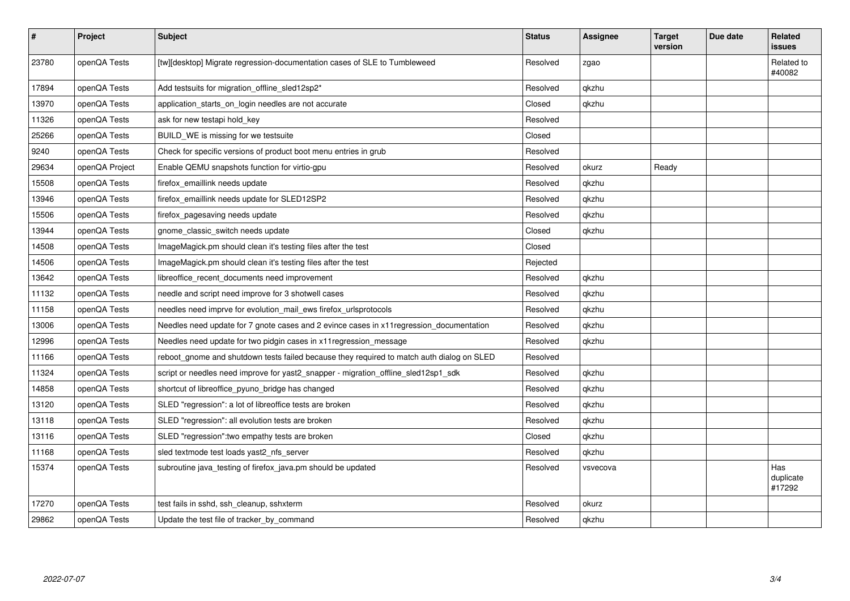| $\sharp$ | Project        | <b>Subject</b>                                                                            | <b>Status</b> | <b>Assignee</b> | <b>Target</b><br>version | Due date | Related<br><b>issues</b>   |
|----------|----------------|-------------------------------------------------------------------------------------------|---------------|-----------------|--------------------------|----------|----------------------------|
| 23780    | openQA Tests   | [tw][desktop] Migrate regression-documentation cases of SLE to Tumbleweed                 | Resolved      | zgao            |                          |          | Related to<br>#40082       |
| 17894    | openQA Tests   | Add testsuits for migration offline sled12sp2*                                            | Resolved      | qkzhu           |                          |          |                            |
| 13970    | openQA Tests   | application starts on login needles are not accurate                                      | Closed        | qkzhu           |                          |          |                            |
| 11326    | openQA Tests   | ask for new testapi hold key                                                              | Resolved      |                 |                          |          |                            |
| 25266    | openQA Tests   | BUILD_WE is missing for we testsuite                                                      | Closed        |                 |                          |          |                            |
| 9240     | openQA Tests   | Check for specific versions of product boot menu entries in grub                          | Resolved      |                 |                          |          |                            |
| 29634    | openQA Project | Enable QEMU snapshots function for virtio-gpu                                             | Resolved      | okurz           | Ready                    |          |                            |
| 15508    | openQA Tests   | firefox emaillink needs update                                                            | Resolved      | qkzhu           |                          |          |                            |
| 13946    | openQA Tests   | firefox emaillink needs update for SLED12SP2                                              | Resolved      | qkzhu           |                          |          |                            |
| 15506    | openQA Tests   | firefox_pagesaving needs update                                                           | Resolved      | qkzhu           |                          |          |                            |
| 13944    | openQA Tests   | gnome classic switch needs update                                                         | Closed        | qkzhu           |                          |          |                            |
| 14508    | openQA Tests   | ImageMagick.pm should clean it's testing files after the test                             | Closed        |                 |                          |          |                            |
| 14506    | openQA Tests   | ImageMagick.pm should clean it's testing files after the test                             | Rejected      |                 |                          |          |                            |
| 13642    | openQA Tests   | libreoffice recent documents need improvement                                             | Resolved      | qkzhu           |                          |          |                            |
| 11132    | openQA Tests   | needle and script need improve for 3 shotwell cases                                       | Resolved      | qkzhu           |                          |          |                            |
| 11158    | openQA Tests   | needles need imprve for evolution mail ews firefox urlsprotocols                          | Resolved      | qkzhu           |                          |          |                            |
| 13006    | openQA Tests   | Needles need update for 7 gnote cases and 2 evince cases in x11 regression_documentation  | Resolved      | qkzhu           |                          |          |                            |
| 12996    | openQA Tests   | Needles need update for two pidgin cases in x11 regression message                        | Resolved      | qkzhu           |                          |          |                            |
| 11166    | openQA Tests   | reboot_gnome and shutdown tests failed because they required to match auth dialog on SLED | Resolved      |                 |                          |          |                            |
| 11324    | openQA Tests   | script or needles need improve for yast2 snapper - migration offline sled12sp1 sdk        | Resolved      | qkzhu           |                          |          |                            |
| 14858    | openQA Tests   | shortcut of libreoffice_pyuno_bridge has changed                                          | Resolved      | qkzhu           |                          |          |                            |
| 13120    | openQA Tests   | SLED "regression": a lot of libreoffice tests are broken                                  | Resolved      | qkzhu           |                          |          |                            |
| 13118    | openQA Tests   | SLED "regression": all evolution tests are broken                                         | Resolved      | qkzhu           |                          |          |                            |
| 13116    | openQA Tests   | SLED "regression": two empathy tests are broken                                           | Closed        | qkzhu           |                          |          |                            |
| 11168    | openQA Tests   | sled textmode test loads yast2 nfs server                                                 | Resolved      | qkzhu           |                          |          |                            |
| 15374    | openQA Tests   | subroutine java_testing of firefox_java.pm should be updated                              | Resolved      | vsvecova        |                          |          | Has<br>duplicate<br>#17292 |
| 17270    | openQA Tests   | test fails in sshd, ssh_cleanup, sshxterm                                                 | Resolved      | okurz           |                          |          |                            |
| 29862    | openQA Tests   | Update the test file of tracker by command                                                | Resolved      | qkzhu           |                          |          |                            |